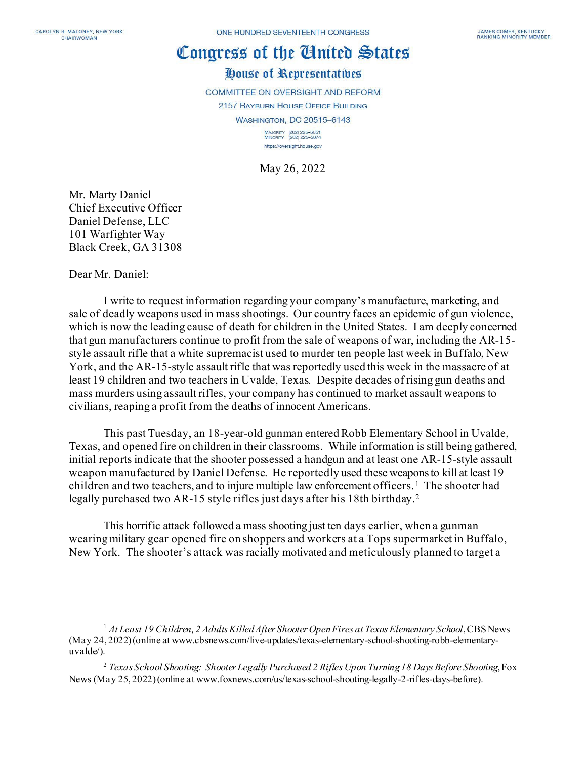## Congress of the Cinited States

## House of Representatives

**COMMITTEE ON OVERSIGHT AND REFORM** 2157 RAYBURN HOUSE OFFICE BUILDING WASHINGTON, DC 20515-6143

> MAJORITY (202) 225-5051<br>MINORITY (202) 225-5074 https://oversight.house.gov

May 26, 2022

Mr. Marty Daniel Chief Executive Officer Daniel Defense, LLC 101 Warfighter Way Black Creek, GA 31308

Dear Mr. Daniel:

I write to request information regarding your company's manufacture, marketing, and sale of deadly weapons used in mass shootings. Our country faces an epidemic of gun violence, which is now the leading cause of death for children in the United States. I am deeply concerned that gun manufacturers continue to profit from the sale of weapons of war, including the AR-15 style assault rifle that a white supremacist used to murder ten people last week in Buffalo, New York, and the AR-15-style assault rifle that was reportedly used this week in the massacre of at least 19 children and two teachers in Uvalde, Texas. Despite decades of rising gun deaths and mass murders using assault rifles, your company has continued to market assault weapons to civilians, reaping a profit from the deaths of innocent Americans.

This past Tuesday, an 18-year-old gunman enteredRobb Elementary School in Uvalde, Texas, and opened fire on children in their classrooms. While information is still being gathered, initial reports indicate that the shooter possessed a handgun and at least one AR-15-style assault weapon manufactured by Daniel Defense. He reportedly used these weapons to kill at least 19 children and two teachers, and to injure multiple law enforcement officers. [1](#page-0-0) The shooter had legally purchased two AR-15 style rifles just days after his 18th birthday.[2](#page-0-1)

This horrific attack followed a mass shooting just ten days earlier, when a gunman wearing military gear opened fire on shoppers and workers at a Tops supermarket in Buffalo, New York. The shooter's attack was racially motivated and meticulously planned to target a

<span id="page-0-0"></span><sup>1</sup> *At Least 19 Children, 2 Adults Killed After Shooter Open Fires at Texas Elementary School*, CBS News (May 24, 2022) (online at www.cbsnews.com/live-updates/texas-elementary-school-shooting-robb-elementaryuvalde/).

<span id="page-0-1"></span><sup>2</sup> *Texas School Shooting: Shooter Legally Purchased 2 Rifles Upon Turning 18 Days Before Shooting*, Fox News (May 25, 2022) (online at www.foxnews.com/us/texas-school-shooting-legally-2-rifles-days-before).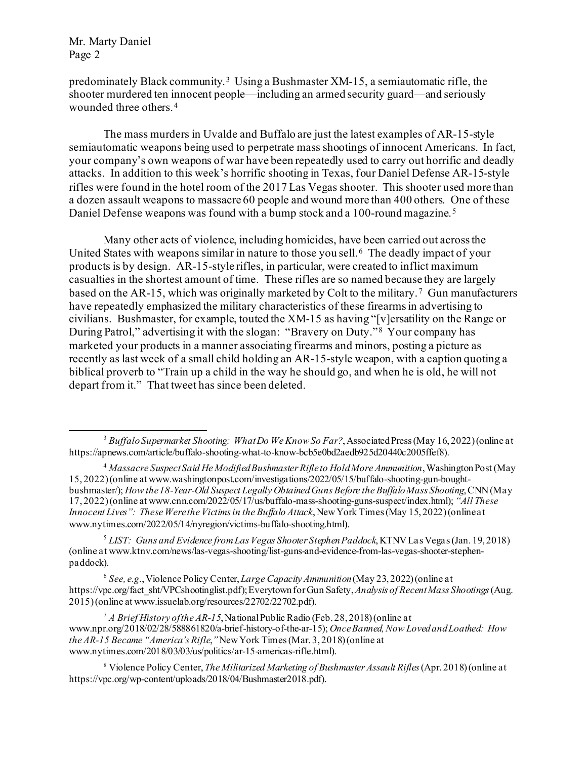predominately Black community. [3](#page-1-0) Using a Bushmaster XM-15, a semiautomatic rifle, the shooter murdered ten innocent people—including an armed security guard—and seriously wounded three others.[4](#page-1-1) 

The mass murders in Uvalde and Buffalo are just the latest examples of AR-15-style semiautomatic weapons being used to perpetrate mass shootings of innocent Americans. In fact, your company's own weapons of war have been repeatedly used to carry out horrific and deadly attacks. In addition to this week's horrific shooting in Texas, four Daniel Defense AR-15-style rifles were found in the hotel room of the 2017 Las Vegas shooter. This shooter used more than a dozen assault weapons to massacre 60 people and wound more than 400 others. One of these Daniel Defense weapons was found with a bump stock and a 100-round magazine.<sup>[5](#page-1-2)</sup>

Many other acts of violence, including homicides, have been carried out across the United States with weapons similar in nature to those you sell.[6](#page-1-3) The deadly impact of your products is by design. AR-15-style rifles, in particular, were created to inflict maximum casualties in the shortest amount of time. These rifles are so named because they are largely based on the AR-15, which was originally marketed by Colt to the military.<sup>7</sup> Gun manufacturers have repeatedly emphasized the military characteristics of these firearmsin advertising to civilians. Bushmaster, for example, touted the XM-15 as having "[v]ersatility on the Range or During Patrol," advertising it with the slogan: "Bravery on Duty."<sup>[8](#page-1-5)</sup> Your company has marketed your products in a manner associating firearms and minors, posting a picture as recently as last week of a small child holding an AR-15-style weapon, with a caption quoting a biblical proverb to "Train up a child in the way he should go, and when he is old, he will not depart from it." That tweet has since been deleted.

<span id="page-1-2"></span><sup>5</sup> *LIST: Guns and Evidence from Las Vegas Shooter Stephen Paddock*, KTNV Las Vegas (Jan. 19, 2018) (online at www.ktnv.com/news/las-vegas-shooting/list-guns-and-evidence-from-las-vegas-shooter-stephenpaddock).

<span id="page-1-3"></span><sup>6</sup> *See, e.g.*, Violence Policy Center, *Large Capacity Ammunition*(May 23, 2022) (online at https://vpc.org/fact\_sht/VPCshootinglist.pdf); Everytown for Gun Safety,*Analysis of Recent Mass Shootings*(Aug. 2015) (online at www.issuelab.org/resources/22702/22702.pdf).

<span id="page-1-4"></span><sup>7</sup> *A Brief History of the AR-15*, National Public Radio (Feb. 28, 2018) (online at www.npr.org/2018/02/28/588861820/a-brief-history-of-the-ar-15); *Once Banned, Now Loved and Loathed: How the AR-15 Became "America's Rifle*,*"*New York Times (Mar. 3, 2018) (online at www.nytimes.com/2018/03/03/us/politics/ar-15-americas-rifle.html).

<span id="page-1-5"></span><sup>8</sup> Violence Policy Center, *The Militarized Marketing of Bushmaster Assault Rifles*(Apr. 2018) (online at https://vpc.org/wp-content/uploads/2018/04/Bushmaster2018.pdf).

<span id="page-1-0"></span><sup>&</sup>lt;sup>3</sup> *Buffalo Supermarket Shooting: What Do We Know So Far?*, Associated Press (May 16, 2022) (online at https://apnews.com/article/buffalo-shooting-what-to-know-bcb5e0bd2aedb925d20440c2005ffef8).

<span id="page-1-1"></span><sup>4</sup> *Massacre Suspect Said He Modified Bushmaster Rifle to Hold More Ammunition*, Washington Post (May 15, 2022) (online at www.washingtonpost.com/investigations/2022/05/15/buffalo-shooting-gun-boughtbushmaster/); *How the 18-Year-Old Suspect Legally Obtained Guns Before the Buffalo Mass Shooting*, CNN (May 17, 2022) (online at www.cnn.com/2022/05/17/us/buffalo-mass-shooting-guns-suspect/index.html); *"All These Innocent Lives": These Were the Victims in the Buffalo Attack*, New York Times (May 15, 2022) (online at www.nytimes.com/2022/05/14/nyregion/victims-buffalo-shooting.html).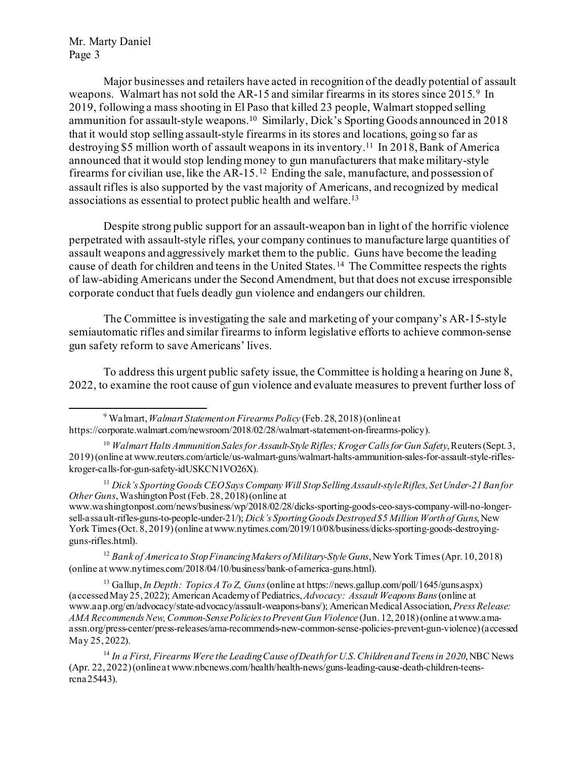Major businesses and retailers have acted in recognition of the deadly potential of assault weapons. Walmart has not sold the AR-15 and similar firearms in its stores since 2015.[9](#page-2-0) In 2019, following a mass shooting in El Paso that killed 23 people, Walmart stopped selling ammunition for assault-style weapons.[10](#page-2-1) Similarly, Dick's Sporting Goods announced in 2018 that it would stop selling assault-style firearms in its stores and locations, going so far as destroying \$5 million worth of assault weapons in its inventory.[11](#page-2-2) In 2018, Bank of America announced that it would stop lending money to gun manufacturers that make military-style firearms for civilian use, like the AR-15. [12](#page-2-3) Ending the sale, manufacture, and possession of assault rifles is also supported by the vast majority of Americans, and recognized by medical associations as essential to protect public health and welfare[.13](#page-2-4)

Despite strong public support for an assault-weapon ban in light of the horrific violence perpetrated with assault-style rifles, your company continues to manufacture large quantities of assault weapons and aggressively market them to the public. Guns have become the leading cause of death for children and teens in the United States.[14](#page-2-5) The Committee respects the rights of law-abiding Americans under the Second Amendment, but that does not excuse irresponsible corporate conduct that fuels deadly gun violence and endangers our children.

The Committee is investigating the sale and marketing of your company's AR-15-style semiautomatic rifles and similar firearms to inform legislative efforts to achieve common-sense gun safety reform to save Americans' lives.

To address this urgent public safety issue, the Committee is holding a hearing on June 8, 2022, to examine the root cause of gun violence and evaluate measures to prevent further loss of

www.washingtonpost.com/news/business/wp/2018/02/28/dicks-sporting-goods-ceo-says-company-will-no-longersell-assault-rifles-guns-to-people-under-21/); *Dick's Sporting Goods Destroyed \$5 Million Worth of Guns*, New York Times (Oct. 8, 2019) (online at www.nytimes.com/2019/10/08/business/dicks-sporting-goods-destroyingguns-rifles.html).

<span id="page-2-3"></span><sup>12</sup> *Bank of America to Stop Financing Makers of Military-Style Guns*, New York Times (Apr. 10, 2018) (online at www.nytimes.com/2018/04/10/business/bank-of-america-guns.html).

<span id="page-2-4"></span><sup>13</sup> Gallup, *In Depth: Topics A To Z, Guns*(online at https://news.gallup.com/poll/1645/guns.aspx) (accessed May 25, 2022); American Academy of Pediatrics, *Advocacy: Assault Weapons Bans*(online at www.aap.org/en/advocacy/state-advocacy/assault-weapons-bans/); American Medical Association, *Press Release: AMA Recommends New, Common-Sense Policies to Prevent Gun Violence* (Jun. 12, 2018) (online at www.amaassn.org/press-center/press-releases/ama-recommends-new-common-sense-policies-prevent-gun-violence)(accessed May 25, 2022).

<span id="page-2-5"></span><sup>14</sup> *In a First, Firearms Were the Leading Cause of Death for U.S. Children and Teens in 2020*, NBC News (Apr. 22, 2022) (online at www.nbcnews.com/health/health-news/guns-leading-cause-death-children-teensrcna25443).

<span id="page-2-0"></span><sup>9</sup> Walmart,*Walmart Statement on Firearms Policy* (Feb. 28, 2018) (online at https://corporate.walmart.com/newsroom/2018/02/28/walmart-statement-on-firearms-policy).

<span id="page-2-1"></span><sup>10</sup> *Walmart Halts Ammunition Sales for Assault-Style Rifles; Kroger Calls for Gun Safety*, Reuters (Sept. 3, 2019) (online at www.reuters.com/article/us-walmart-guns/walmart-halts-ammunition-sales-for-assault-style-rifleskroger-calls-for-gun-safety-idUSKCN1VO26X).

<span id="page-2-2"></span><sup>11</sup> *Dick's Sporting Goods CEO Says Company Will Stop Selling Assault-style Rifles, Set Under-21 Ban for Other Guns*, Washington Post (Feb. 28, 2018) (online at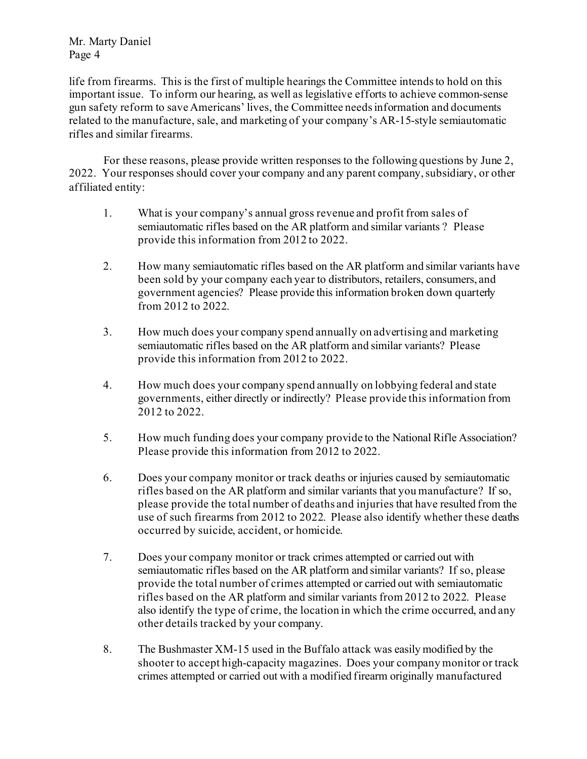life from firearms. This is the first of multiple hearings the Committee intends to hold on this important issue. To inform our hearing, as well as legislative efforts to achieve common-sense gun safety reform to save Americans' lives, the Committee needs information and documents related to the manufacture, sale, and marketing of your company's AR-15-style semiautomatic rifles and similar firearms.

For these reasons, please provide written responses to the following questions by June 2, 2022. Your responses should cover your company and any parent company, subsidiary, or other affiliated entity:

- 1. What is your company's annual gross revenue and profit from sales of semiautomatic rifles based on the AR platform and similar variants ? Please provide this information from 2012 to 2022.
- 2. How many semiautomatic rifles based on the AR platform and similar variants have been sold by your company each year to distributors, retailers, consumers, and government agencies? Please provide this information broken down quarterly from 2012 to 2022.
- 3. How much does your company spend annually on advertising and marketing semiautomatic rifles based on the AR platform and similar variants? Please provide this information from 2012 to 2022.
- 4. How much does your company spend annually on lobbying federal and state governments, either directly or indirectly? Please provide this information from 2012 to 2022.
- 5. How much funding does your company provide to the National Rifle Association? Please provide this information from 2012 to 2022.
- 6. Does your company monitor or track deaths or injuries caused by semiautomatic rifles based on the AR platform and similar variants that you manufacture? If so, please provide the total number of deaths and injuries that have resulted from the use of such firearms from 2012 to 2022. Please also identify whether these deaths occurred by suicide, accident, or homicide.
- 7. Does your company monitor or track crimes attempted or carried out with semiautomatic rifles based on the AR platform and similar variants? If so, please provide the total number of crimes attempted or carried out with semiautomatic rifles based on the AR platform and similar variants from 2012 to 2022. Please also identify the type of crime, the location in which the crime occurred, and any other details tracked by your company.
- 8. The Bushmaster XM-15 used in the Buffalo attack was easily modified by the shooter to accept high-capacity magazines. Does your company monitor or track crimes attempted or carried out with a modified firearm originally manufactured